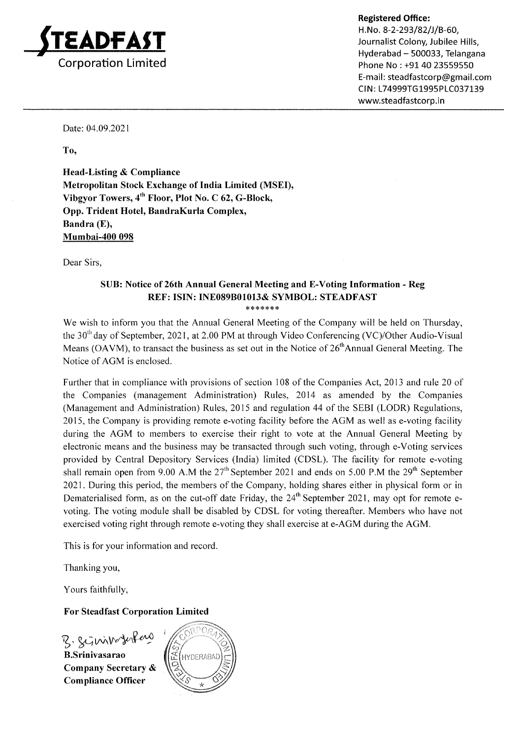

Phone No : +91 40 23559550 E-mail : steadfastcorp@gmail.com CIN: L74999TG1995PLC037139 www.steadfastcorp.in

Date: 04.09.2021

To,

Head-Listing & Compliance Metropolitan Stock Exchange of India Limited (MSEI), Vibgyor Towers,  $4^{th}$  Floor, Plot No. C 62, G-Block, Opp. Trident Hotel, BandraKurla Complex, Bandra (E), Mumbai-4OO 098

Dear Sirs,

# SUB: Notice of 26th Annual General Meeting and E-Voting Information - Reg REF: ISIN: INE089801013& SYMBOL: STEADFAST

\*\*\*\*\*\*\*

We wish to inform you that the Annual General Meeting of the Company will be held on Thursday, the  $30<sup>th</sup>$  day of September, 2021, at 2.00 PM at through Video Conferencing (VC)/Other Audio-Visual Means (OAVM), to transact the business as set out in the Notice of  $26<sup>th</sup>$ Annual General Meeting. The Notice of AGM is enclosed.

Further that in compliance with provisions of section 108 of the Companies Act, 2013 and rule 20 of the Companies (management Administration) Rules, 2014 as amended by the Companies (Management and Administration) Rules, 2015 and regulation 44 of the SEBI (LODR) Regulations, 2015, the Company is providing remote e-voting facility before the AGM as well as e-voting facility during the AGM to members to exercise their right to vote at the Annual General Meeting by electronic means and the business may be transacted through such voting, through e-Voting services provided by Central Depository Services (lndia) limited (CDSL). The facility for remote e-voting shall remain open from 9.00 A.M the  $27<sup>th</sup>$  September 2021 and ends on 5.00 P.M the  $29<sup>th</sup>$  September 2021. During this period, the members of the Company, holding shares either in physical form or in Dematerialised form, as on the cut-off date Friday, the  $24<sup>th</sup>$  September 2021, may opt for remote evoting. The voting module shall be disabled by CDSL for voting thereafter. Members who have not exercised voting right through remote e-voting they shall exercise at e-AGM during the AGM.

This is for your information and record

Thanking you,

Yours faithfully,

# For Steadfast Corporation Limited

B. Scinivaterfero Company Secretary & Compliance Officer

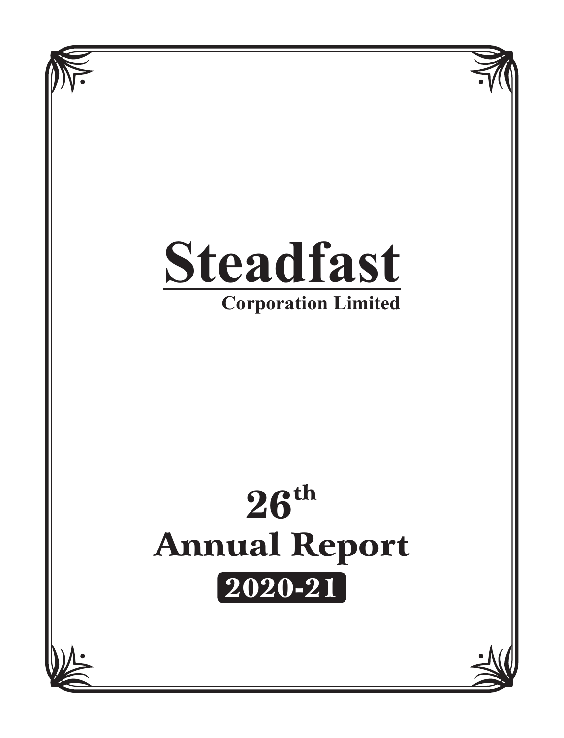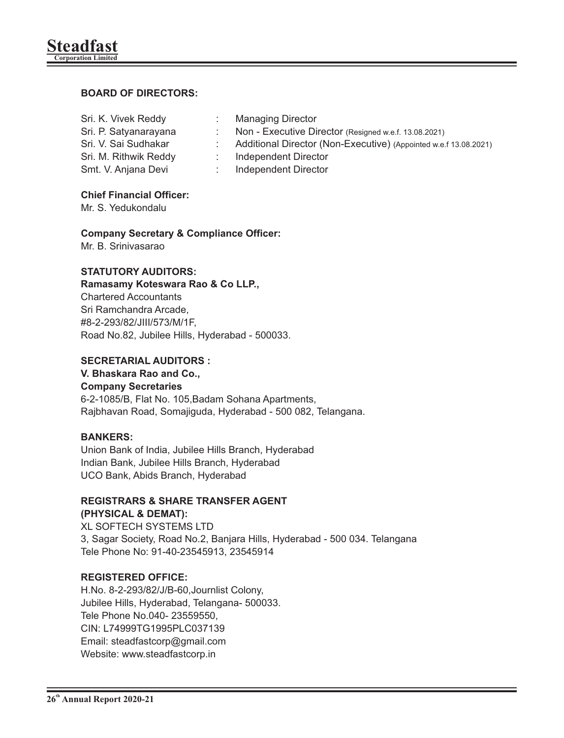# **BOARD OF DIRECTORS:**

| Sri. K. Vivek Reddy   | <b>Managing Director</b>                                         |  |
|-----------------------|------------------------------------------------------------------|--|
| Sri. P. Satyanarayana | Non - Executive Director (Resigned w.e.f. 13.08.2021)            |  |
| Sri. V. Sai Sudhakar  | Additional Director (Non-Executive) (Appointed w.e.f 13.08.2021) |  |
| Sri. M. Rithwik Reddy | Independent Director                                             |  |
| Smt. V. Anjana Devi   | Independent Director                                             |  |
|                       |                                                                  |  |

#### **Chief Financial Officer:**

Mr. S. Yedukondalu

# **Company Secretary & Compliance Officer:**

Mr. B. Srinivasarao

# **STATUTORY AUDITORS:**

#### **Ramasamy Koteswara Rao & Co LLP.,**

Chartered Accountants Sri Ramchandra Arcade, #8-2-293/82/JIII/573/M/1F, Road No.82, Jubilee Hills, Hyderabad - 500033.

## **SECRETARIAL AUDITORS :**

# **V. Bhaskara Rao and Co.,**

#### **Company Secretaries**

6-2-1085/B, Flat No. 105,Badam Sohana Apartments, Rajbhavan Road, Somajiguda, Hyderabad - 500 082, Telangana.

#### **BANKERS:**

Union Bank of India, Jubilee Hills Branch, Hyderabad Indian Bank, Jubilee Hills Branch, Hyderabad UCO Bank, Abids Branch, Hyderabad

#### **REGISTRARS & SHARE TRANSFER AGENT (PHYSICAL & DEMAT):**

XL SOFTECH SYSTEMS LTD 3, Sagar Society, Road No.2, Banjara Hills, Hyderabad - 500 034. Telangana Tele Phone No: 91-40-23545913, 23545914

# **REGISTERED OFFICE:**

H.No. 8-2-293/82/J/B-60,Journlist Colony, Jubilee Hills, Hyderabad, Telangana- 500033. Tele Phone No.040- 23559550, CIN: L74999TG1995PLC037139 Email: steadfastcorp@gmail.com Website: www.steadfastcorp.in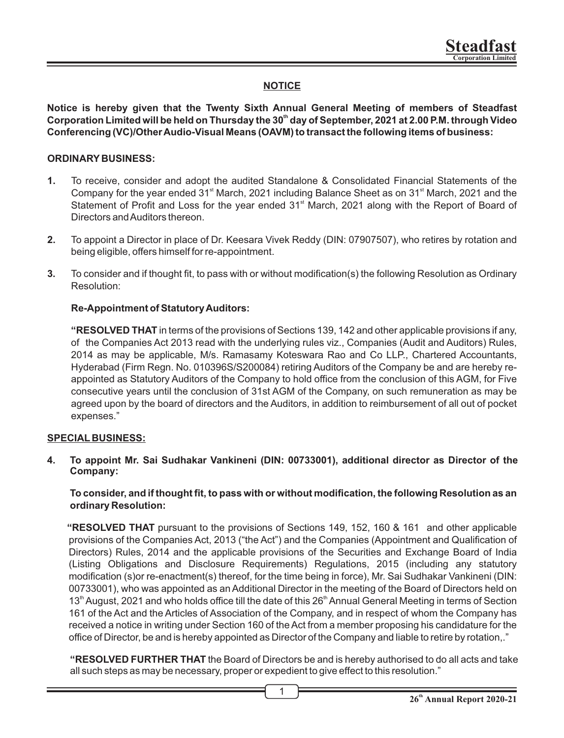# **NOTICE**

**Notice is hereby given that the Twenty Sixth Annual General Meeting of members of Steadfast th Corporation Limited will be held on Thursday the 30 day of September, 2021 at 2.00 P.M. through Video Conferencing (VC)/Other Audio-Visual Means (OAVM) to transact the following items of business:**

#### **ORDINARY BUSINESS:**

- **1.** To receive, consider and adopt the audited Standalone & Consolidated Financial Statements of the Company for the year ended 31<sup>st</sup> March, 2021 including Balance Sheet as on 31<sup>st</sup> March, 2021 and the Statement of Profit and Loss for the year ended 31<sup>st</sup> March, 2021 along with the Report of Board of Directors and Auditors thereon.
- **2.** To appoint a Director in place of Dr. Keesara Vivek Reddy (DIN: 07907507), who retires by rotation and being eligible, offers himself for re-appointment.
- **3.** To consider and if thought fit, to pass with or without modification(s) the following Resolution as Ordinary Resolution:

#### **Re-Appointment of Statutory Auditors:**

**"RESOLVED THAT** in terms of the provisions of Sections 139, 142 and other applicable provisions if any, of the Companies Act 2013 read with the underlying rules viz., Companies (Audit and Auditors) Rules, 2014 as may be applicable, M/s. Ramasamy Koteswara Rao and Co LLP., Chartered Accountants, Hyderabad (Firm Regn. No. 010396S/S200084) retiring Auditors of the Company be and are hereby reappointed as Statutory Auditors of the Company to hold office from the conclusion of this AGM, for Five consecutive years until the conclusion of 31st AGM of the Company, on such remuneration as may be agreed upon by the board of directors and the Auditors, in addition to reimbursement of all out of pocket expenses."

#### **SPECIAL BUSINESS:**

**4. To appoint Mr. Sai Sudhakar Vankineni (DIN: 00733001), additional director as Director of the Company:**

**To consider, and if thought fit, to pass with or without modification, the following Resolution as an ordinary Resolution:**

**"RESOLVED THAT** pursuant to the provisions of Sections 149, 152, 160 & 161 and other applicable provisions of the Companies Act, 2013 ("the Act") and the Companies (Appointment and Qualification of Directors) Rules, 2014 and the applicable provisions of the Securities and Exchange Board of India (Listing Obligations and Disclosure Requirements) Regulations, 2015 (including any statutory modification (s)or re-enactment(s) thereof, for the time being in force), Mr. Sai Sudhakar Vankineni (DIN: 00733001), who was appointed as an Additional Director in the meeting of the Board of Directors held on 13<sup>th</sup> August, 2021 and who holds office till the date of this 26<sup>th</sup> Annual General Meeting in terms of Section 161 of the Act and the Articles of Association of the Company, and in respect of whom the Company has received a notice in writing under Section 160 of the Act from a member proposing his candidature for the office of Director, be and is hereby appointed as Director of the Company and liable to retire by rotation,."

**"RESOLVED FURTHER THAT** the Board of Directors be and is hereby authorised to do all acts and take all such steps as may be necessary, proper or expedient to give effect to this resolution."

1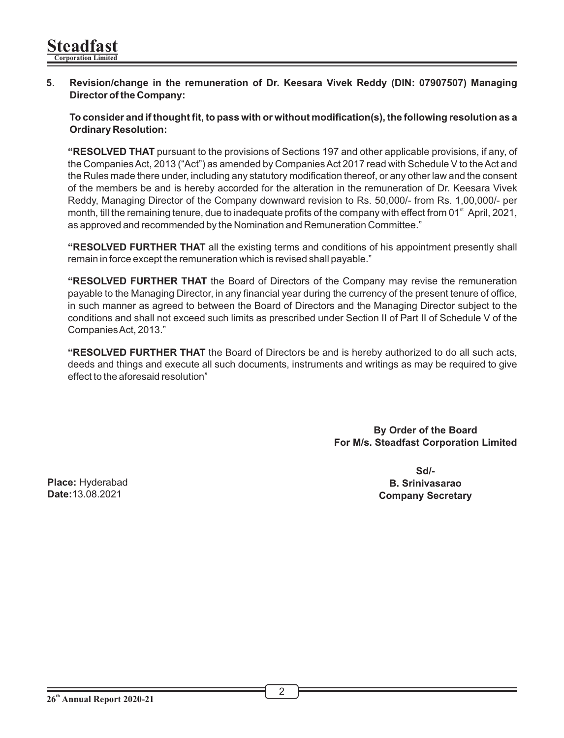**5**. **Revision/change in the remuneration of Dr. Keesara Vivek Reddy (DIN: 07907507) Managing Director of the Company:**

**To consider and if thought fit, to pass with or without modification(s), the following resolution as a Ordinary Resolution:**

**"RESOLVED THAT** pursuant to the provisions of Sections 197 and other applicable provisions, if any, of the Companies Act, 2013 ("Act") as amended by Companies Act 2017 read with Schedule V to the Act and the Rules made there under, including any statutory modification thereof, or any other law and the consent of the members be and is hereby accorded for the alteration in the remuneration of Dr. Keesara Vivek Reddy, Managing Director of the Company downward revision to Rs. 50,000/- from Rs. 1,00,000/- per month, till the remaining tenure, due to inadequate profits of the company with effect from 01<sup>st</sup> April, 2021, as approved and recommended by the Nomination and Remuneration Committee."

**"RESOLVED FURTHER THAT** all the existing terms and conditions of his appointment presently shall remain in force except the remuneration which is revised shall payable."

**"RESOLVED FURTHER THAT** the Board of Directors of the Company may revise the remuneration payable to the Managing Director, in any financial year during the currency of the present tenure of office, in such manner as agreed to between the Board of Directors and the Managing Director subject to the conditions and shall not exceed such limits as prescribed under Section II of Part II of Schedule V of the Companies Act, 2013."

**"RESOLVED FURTHER THAT** the Board of Directors be and is hereby authorized to do all such acts, deeds and things and execute all such documents, instruments and writings as may be required to give effect to the aforesaid resolution"

> **By Order of the Board For M/s. Steadfast Corporation Limited**

**Place:** Hyderabad **Date:**13.08.2021

**Sd/- B. Srinivasarao Company Secretary**

 $\overline{2}$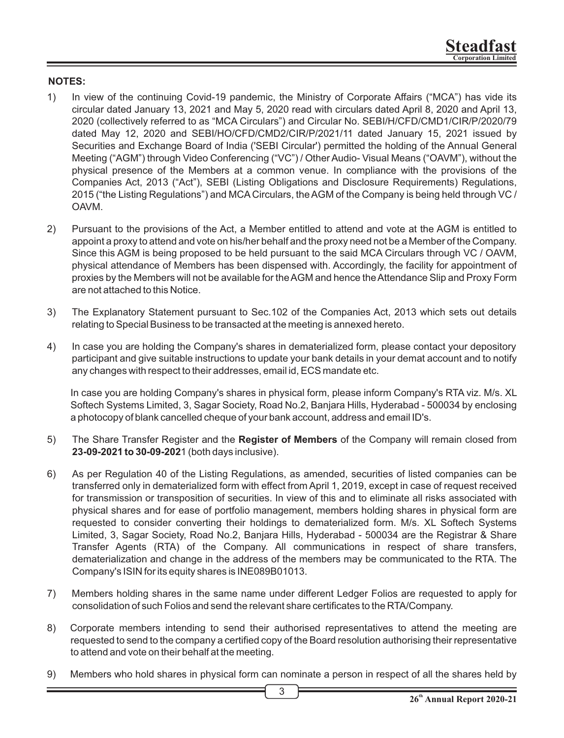#### **NOTES:**

- 1) In view of the continuing Covid-19 pandemic, the Ministry of Corporate Affairs ("MCA") has vide its circular dated January 13, 2021 and May 5, 2020 read with circulars dated April 8, 2020 and April 13, 2020 (collectively referred to as "MCA Circulars") and Circular No. SEBI/H/CFD/CMD1/CIR/P/2020/79 dated May 12, 2020 and SEBI/HO/CFD/CMD2/CIR/P/2021/11 dated January 15, 2021 issued by Securities and Exchange Board of India ('SEBI Circular') permitted the holding of the Annual General Meeting ("AGM") through Video Conferencing ("VC") / Other Audio- Visual Means ("OAVM"), without the physical presence of the Members at a common venue. In compliance with the provisions of the Companies Act, 2013 ("Act"), SEBI (Listing Obligations and Disclosure Requirements) Regulations, 2015 ("the Listing Regulations") and MCA Circulars, the AGM of the Company is being held through VC / OAVM.
- 2) Pursuant to the provisions of the Act, a Member entitled to attend and vote at the AGM is entitled to appoint a proxy to attend and vote on his/her behalf and the proxy need not be a Member of the Company. Since this AGM is being proposed to be held pursuant to the said MCA Circulars through VC / OAVM, physical attendance of Members has been dispensed with. Accordingly, the facility for appointment of proxies by the Members will not be available for the AGM and hence the Attendance Slip and Proxy Form are not attached to this Notice.
- 3) The Explanatory Statement pursuant to Sec.102 of the Companies Act, 2013 which sets out details relating to Special Business to be transacted at the meeting is annexed hereto.
- 4) In case you are holding the Company's shares in dematerialized form, please contact your depository participant and give suitable instructions to update your bank details in your demat account and to notify any changes with respect to their addresses, email id, ECS mandate etc.

In case you are holding Company's shares in physical form, please inform Company's RTA viz. M/s. XL Softech Systems Limited, 3, Sagar Society, Road No.2, Banjara Hills, Hyderabad - 500034 by enclosing a photocopy of blank cancelled cheque of your bank account, address and email ID's.

- 5) The Share Transfer Register and the **Register of Members** of the Company will remain closed from **23-09-2021 to 30-09-202**1 (both days inclusive).
- 6) As per Regulation 40 of the Listing Regulations, as amended, securities of listed companies can be transferred only in dematerialized form with effect from April 1, 2019, except in case of request received for transmission or transposition of securities. In view of this and to eliminate all risks associated with physical shares and for ease of portfolio management, members holding shares in physical form are requested to consider converting their holdings to dematerialized form. M/s. XL Softech Systems Limited, 3, Sagar Society, Road No.2, Banjara Hills, Hyderabad - 500034 are the Registrar & Share Transfer Agents (RTA) of the Company. All communications in respect of share transfers, dematerialization and change in the address of the members may be communicated to the RTA. The Company's ISIN for its equity shares is INE089B01013.
- 7) Members holding shares in the same name under different Ledger Folios are requested to apply for consolidation of such Folios and send the relevant share certificates to the RTA/Company.
- 8) Corporate members intending to send their authorised representatives to attend the meeting are requested to send to the company a certified copy of the Board resolution authorising their representative to attend and vote on their behalf at the meeting.
- 9) Members who hold shares in physical form can nominate a person in respect of all the shares held by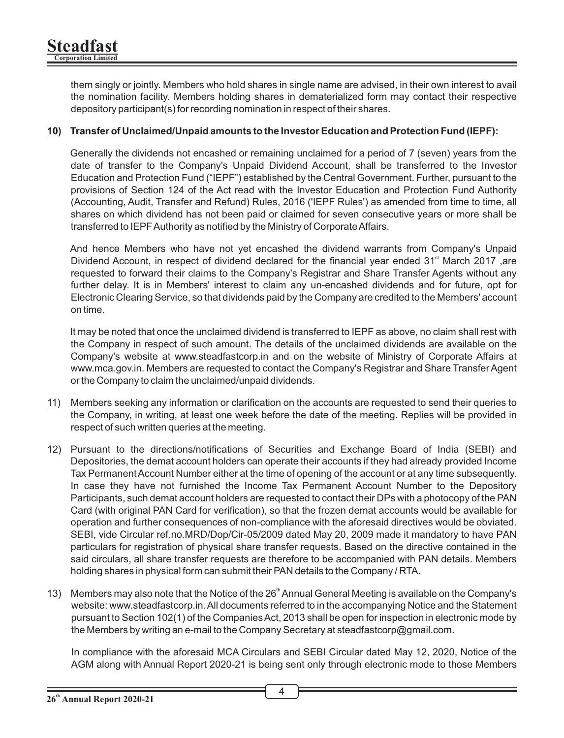them singly or jointly. Members who hold shares in single name are advised, in their own interest to avail the nomination facility. Members holding shares in dematerialized form may contact their respective depository participant(s) for recording nomination in respect of their shares.

#### **10) Transfer of Unclaimed/Unpaid amounts to the Investor Education and Protection Fund (IEPF):**

Generally the dividends not encashed or remaining unclaimed for a period of 7 (seven) years from the date of transfer to the Company's Unpaid Dividend Account, shall be transferred to the Investor Education and Protection Fund ("IEPF") established by the Central Government. Further, pursuant to the provisions of Section 124 of the Act read with the Investor Education and Protection Fund Authority (Accounting, Audit, Transfer and Refund) Rules, 2016 ('IEPF Rules') as amended from time to time, all shares on which dividend has not been paid or claimed for seven consecutive years or more shall be transferred to IEPF Authority as notified by the Ministry of Corporate Affairs.

And hence Members who have not yet encashed the dividend warrants from Company's Unpaid Dividend Account, in respect of dividend declared for the financial year ended  $31<sup>st</sup>$  March 2017, are requested to forward their claims to the Company's Registrar and Share Transfer Agents without any further delay. It is in Members' interest to claim any un-encashed dividends and for future, opt for Electronic Clearing Service, so that dividends paid by the Company are credited to the Members' account on time.

It may be noted that once the unclaimed dividend is transferred to IEPF as above, no claim shall rest with the Company in respect of such amount. The details of the unclaimed dividends are available on the Company's website at www.steadfastcorp.in and on the website of Ministry of Corporate Affairs at www.mca.gov.in. Members are requested to contact the Company's Registrar and Share Transfer Agent or the Company to claim the unclaimed/unpaid dividends.

- 11) Members seeking any information or clarification on the accounts are requested to send their queries to the Company, in writing, at least one week before the date of the meeting. Replies will be provided in respect of such written queries at the meeting.
- 12) Pursuant to the directions/notifications of Securities and Exchange Board of India (SEBI) and Depositories, the demat account holders can operate their accounts if they had already provided Income Tax Permanent Account Number either at the time of opening of the account or at any time subsequently. In case they have not furnished the Income Tax Permanent Account Number to the Depository Participants, such demat account holders are requested to contact their DPs with a photocopy of the PAN Card (with original PAN Card for verification), so that the frozen demat accounts would be available for operation and further consequences of non-compliance with the aforesaid directives would be obviated. SEBI, vide Circular ref.no.MRD/Dop/Cir-05/2009 dated May 20, 2009 made it mandatory to have PAN particulars for registration of physical share transfer requests. Based on the directive contained in the said circulars, all share transfer requests are therefore to be accompanied with PAN details. Members holding shares in physical form can submit their PAN details to the Company / RTA.
- 13) Members may also note that the Notice of the 26<sup>th</sup> Annual General Meeting is available on the Company's website: www.steadfastcorp.in. All documents referred to in the accompanying Notice and the Statement pursuant to Section 102(1) of the Companies Act, 2013 shall be open for inspection in electronic mode by the Members by writing an e-mail to the Company Secretary at steadfastcorp@gmail.com.

In compliance with the aforesaid MCA Circulars and SEBI Circular dated May 12, 2020, Notice of the AGM along with Annual Report 2020-21 is being sent only through electronic mode to those Members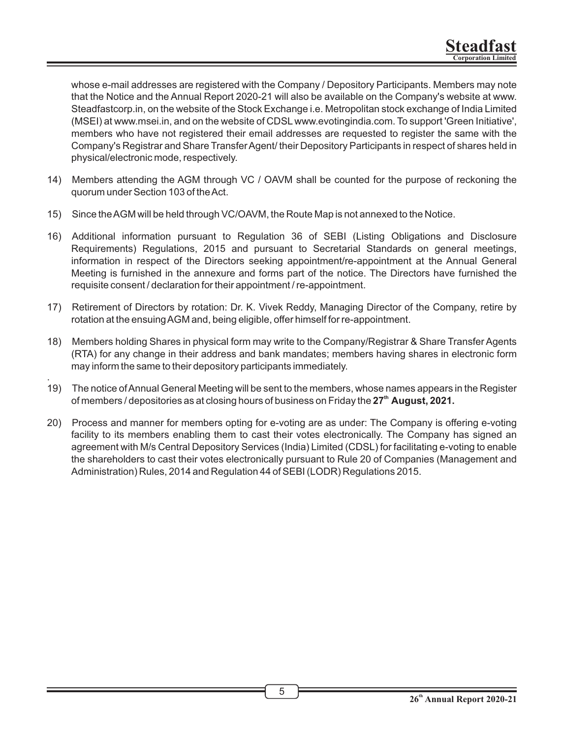whose e-mail addresses are registered with the Company / Depository Participants. Members may note that the Notice and the Annual Report 2020-21 will also be available on the Company's website at www. Steadfastcorp.in, on the website of the Stock Exchange i.e. Metropolitan stock exchange of India Limited (MSEI) at www.msei.in, and on the website of CDSL www.evotingindia.com. To support 'Green Initiative', members who have not registered their email addresses are requested to register the same with the Company's Registrar and Share Transfer Agent/ their Depository Participants in respect of shares held in physical/electronic mode, respectively.

- 14) Members attending the AGM through VC / OAVM shall be counted for the purpose of reckoning the quorum under Section 103 of the Act.
- 15) Since the AGM will be held through VC/OAVM, the Route Map is not annexed to the Notice.
- 16) Additional information pursuant to Regulation 36 of SEBI (Listing Obligations and Disclosure Requirements) Regulations, 2015 and pursuant to Secretarial Standards on general meetings, information in respect of the Directors seeking appointment/re-appointment at the Annual General Meeting is furnished in the annexure and forms part of the notice. The Directors have furnished the requisite consent / declaration for their appointment / re-appointment.
- 17) Retirement of Directors by rotation: Dr. K. Vivek Reddy, Managing Director of the Company, retire by rotation at the ensuing AGM and, being eligible, offer himself for re-appointment.
- 18) Members holding Shares in physical form may write to the Company/Registrar & Share Transfer Agents (RTA) for any change in their address and bank mandates; members having shares in electronic form may inform the same to their depository participants immediately.
- . 19) The notice of Annual General Meeting will be sent to the members, whose names appears in the Register of members / depositories as at closing hours of business on Friday the 27<sup>th</sup> August, 2021.
- 20) Process and manner for members opting for e-voting are as under: The Company is offering e-voting facility to its members enabling them to cast their votes electronically. The Company has signed an agreement with M/s Central Depository Services (India) Limited (CDSL) for facilitating e-voting to enable the shareholders to cast their votes electronically pursuant to Rule 20 of Companies (Management and Administration) Rules, 2014 and Regulation 44 of SEBI (LODR) Regulations 2015.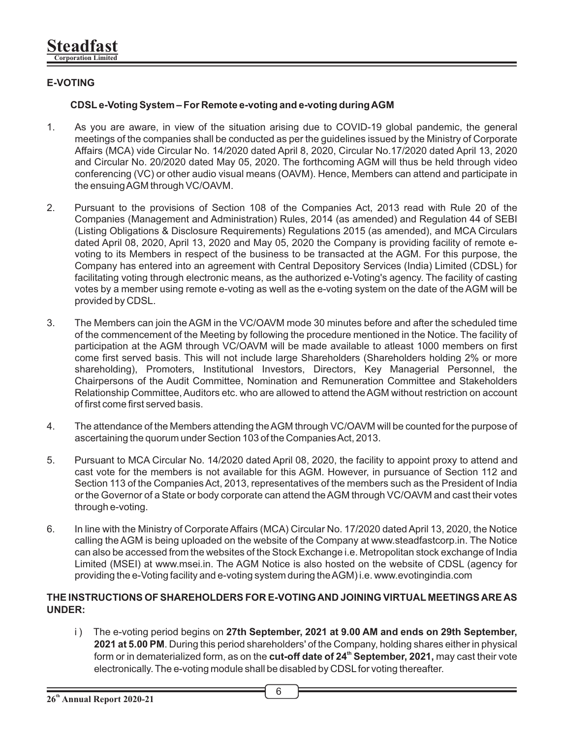# **E-VOTING**

### **CDSLe-Voting System – For Remote e-voting and e-voting during AGM**

- 1. As you are aware, in view of the situation arising due to COVID-19 global pandemic, the general meetings of the companies shall be conducted as per the guidelines issued by the Ministry of Corporate Affairs (MCA) vide Circular No. 14/2020 dated April 8, 2020, Circular No.17/2020 dated April 13, 2020 and Circular No. 20/2020 dated May 05, 2020. The forthcoming AGM will thus be held through video conferencing (VC) or other audio visual means (OAVM). Hence, Members can attend and participate in the ensuing AGM through VC/OAVM.
- 2. Pursuant to the provisions of Section 108 of the Companies Act, 2013 read with Rule 20 of the Companies (Management and Administration) Rules, 2014 (as amended) and Regulation 44 of SEBI (Listing Obligations & Disclosure Requirements) Regulations 2015 (as amended), and MCA Circulars dated April 08, 2020, April 13, 2020 and May 05, 2020 the Company is providing facility of remote evoting to its Members in respect of the business to be transacted at the AGM. For this purpose, the Company has entered into an agreement with Central Depository Services (India) Limited (CDSL) for facilitating voting through electronic means, as the authorized e-Voting's agency. The facility of casting votes by a member using remote e-voting as well as the e-voting system on the date of the AGM will be provided by CDSL.
- 3. The Members can join the AGM in the VC/OAVM mode 30 minutes before and after the scheduled time of the commencement of the Meeting by following the procedure mentioned in the Notice. The facility of participation at the AGM through VC/OAVM will be made available to atleast 1000 members on first come first served basis. This will not include large Shareholders (Shareholders holding 2% or more shareholding), Promoters, Institutional Investors, Directors, Key Managerial Personnel, the Chairpersons of the Audit Committee, Nomination and Remuneration Committee and Stakeholders Relationship Committee, Auditors etc. who are allowed to attend the AGM without restriction on account of first come first served basis.
- 4. The attendance of the Members attending the AGM through VC/OAVM will be counted for the purpose of ascertaining the quorum under Section 103 of the Companies Act, 2013.
- 5. Pursuant to MCA Circular No. 14/2020 dated April 08, 2020, the facility to appoint proxy to attend and cast vote for the members is not available for this AGM. However, in pursuance of Section 112 and Section 113 of the Companies Act, 2013, representatives of the members such as the President of India or the Governor of a State or body corporate can attend the AGM through VC/OAVM and cast their votes through e-voting.
- 6. In line with the Ministry of Corporate Affairs (MCA) Circular No. 17/2020 dated April 13, 2020, the Notice calling the AGM is being uploaded on the website of the Company at www.steadfastcorp.in. The Notice can also be accessed from the websites of the Stock Exchange i.e. Metropolitan stock exchange of India Limited (MSEI) at www.msei.in. The AGM Notice is also hosted on the website of CDSL (agency for providing the e-Voting facility and e-voting system during the AGM) i.e. www.evotingindia.com

#### **THE INSTRUCTIONS OF SHAREHOLDERS FOR E-VOTING AND JOINING VIRTUAL MEETINGS ARE AS UNDER:**

ii) The e-voting period begins on **27th September, 2021 at 9.00 AM and ends on 29th September, 2021 at 5.00 PM**. During this period shareholders' of the Company, holding shares either in physical form or in dematerialized form, as on the **cut-off date of 24<sup>th</sup> September, 2021,** may cast their vote electronically. The e-voting module shall be disabled by CDSL for voting thereafter.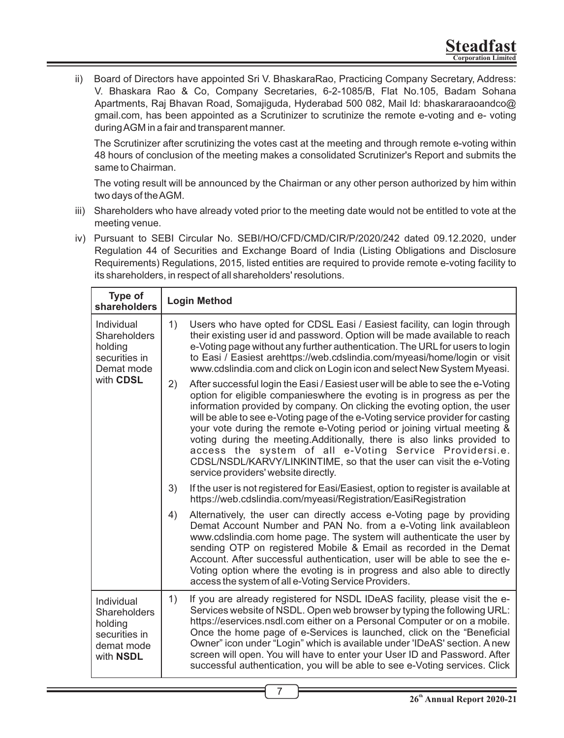ii) Board of Directors have appointed Sri V. BhaskaraRao, Practicing Company Secretary, Address: V. Bhaskara Rao & Co, Company Secretaries, 6-2-1085/B, Flat No.105, Badam Sohana Apartments, Raj Bhavan Road, Somajiguda, Hyderabad 500 082, Mail Id: bhaskararaoandco@ gmail.com, has been appointed as a Scrutinizer to scrutinize the remote e-voting and e- voting during AGM in a fair and transparent manner.

The Scrutinizer after scrutinizing the votes cast at the meeting and through remote e-voting within 48 hours of conclusion of the meeting makes a consolidated Scrutinizer's Report and submits the same to Chairman.

The voting result will be announced by the Chairman or any other person authorized by him within two days of the AGM.

- iii) Shareholders who have already voted prior to the meeting date would not be entitled to vote at the meeting venue.
- iv) Pursuant to SEBI Circular No. SEBI/HO/CFD/CMD/CIR/P/2020/242 dated 09.12.2020, under Regulation 44 of Securities and Exchange Board of India (Listing Obligations and Disclosure Requirements) Regulations, 2015, listed entities are required to provide remote e-voting facility to its shareholders, in respect of all shareholders' resolutions.

| Type of<br>shareholders                                                           | <b>Login Method</b>                                                                                                                                                                                                                                                                                                                                                                                                                                                                                                                                                                                                                                                |  |  |
|-----------------------------------------------------------------------------------|--------------------------------------------------------------------------------------------------------------------------------------------------------------------------------------------------------------------------------------------------------------------------------------------------------------------------------------------------------------------------------------------------------------------------------------------------------------------------------------------------------------------------------------------------------------------------------------------------------------------------------------------------------------------|--|--|
| Individual<br>Shareholders<br>holding<br>securities in<br>Demat mode<br>with CDSL | 1)<br>Users who have opted for CDSL Easi / Easiest facility, can login through<br>their existing user id and password. Option will be made available to reach<br>e-Voting page without any further authentication. The URL for users to login<br>to Easi / Easiest arehttps://web.cdslindia.com/myeasi/home/login or visit<br>www.cdslindia.com and click on Login icon and select New System Myeasi.                                                                                                                                                                                                                                                              |  |  |
|                                                                                   | After successful login the Easi / Easiest user will be able to see the e-Voting<br>2)<br>option for eligible companieswhere the evoting is in progress as per the<br>information provided by company. On clicking the evoting option, the user<br>will be able to see e-Voting page of the e-Voting service provider for casting<br>your vote during the remote e-Voting period or joining virtual meeting &<br>voting during the meeting. Additionally, there is also links provided to<br>access the system of all e-Voting Service Providersi.e.<br>CDSL/NSDL/KARVY/LINKINTIME, so that the user can visit the e-Voting<br>service providers' website directly. |  |  |
|                                                                                   | 3)<br>If the user is not registered for Easi/Easiest, option to register is available at<br>https://web.cdslindia.com/myeasi/Registration/EasiRegistration                                                                                                                                                                                                                                                                                                                                                                                                                                                                                                         |  |  |
|                                                                                   | 4)<br>Alternatively, the user can directly access e-Voting page by providing<br>Demat Account Number and PAN No. from a e-Voting link availableon<br>www.cdslindia.com home page. The system will authenticate the user by<br>sending OTP on registered Mobile & Email as recorded in the Demat<br>Account. After successful authentication, user will be able to see the e-<br>Voting option where the evoting is in progress and also able to directly<br>access the system of all e-Voting Service Providers.                                                                                                                                                   |  |  |
| Individual<br>Shareholders<br>holding<br>securities in<br>demat mode<br>with NSDL | 1)<br>If you are already registered for NSDL IDeAS facility, please visit the e-<br>Services website of NSDL. Open web browser by typing the following URL:<br>https://eservices.nsdl.com either on a Personal Computer or on a mobile.<br>Once the home page of e-Services is launched, click on the "Beneficial<br>Owner" icon under "Login" which is available under 'IDeAS' section. A new<br>screen will open. You will have to enter your User ID and Password. After<br>successful authentication, you will be able to see e-Voting services. Click                                                                                                         |  |  |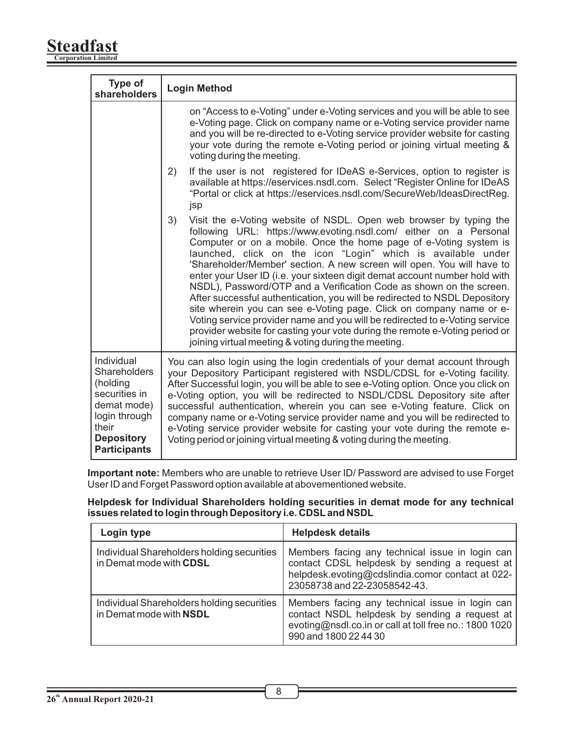#### **Steadfast Corporation Limited**

| Type of<br>shareholders                                                                                                                      | <b>Login Method</b>                                                                                                                                                                                                                                                                                                                                                                                                                                                                                                                                                                                                                                                                                                                                                                                                                                                                          |  |  |
|----------------------------------------------------------------------------------------------------------------------------------------------|----------------------------------------------------------------------------------------------------------------------------------------------------------------------------------------------------------------------------------------------------------------------------------------------------------------------------------------------------------------------------------------------------------------------------------------------------------------------------------------------------------------------------------------------------------------------------------------------------------------------------------------------------------------------------------------------------------------------------------------------------------------------------------------------------------------------------------------------------------------------------------------------|--|--|
|                                                                                                                                              | on "Access to e-Voting" under e-Voting services and you will be able to see<br>e-Voting page. Click on company name or e-Voting service provider name<br>and you will be re-directed to e-Voting service provider website for casting<br>your vote during the remote e-Voting period or joining virtual meeting &<br>voting during the meeting.                                                                                                                                                                                                                                                                                                                                                                                                                                                                                                                                              |  |  |
|                                                                                                                                              | If the user is not registered for IDeAS e-Services, option to register is<br>2)<br>available at https://eservices.nsdl.com. Select "Register Online for IDeAS<br>"Portal or click at https://eservices.nsdl.com/SecureWeb/IdeasDirectReg.<br>jsp                                                                                                                                                                                                                                                                                                                                                                                                                                                                                                                                                                                                                                             |  |  |
|                                                                                                                                              | 3)<br>Visit the e-Voting website of NSDL. Open web browser by typing the<br>following URL: https://www.evoting.nsdl.com/ either on a Personal<br>Computer or on a mobile. Once the home page of e-Voting system is<br>launched, click on the icon "Login" which is available under<br>'Shareholder/Member' section. A new screen will open. You will have to<br>enter your User ID (i.e. your sixteen digit demat account number hold with<br>NSDL), Password/OTP and a Verification Code as shown on the screen.<br>After successful authentication, you will be redirected to NSDL Depository<br>site wherein you can see e-Voting page. Click on company name or e-<br>Voting service provider name and you will be redirected to e-Voting service<br>provider website for casting your vote during the remote e-Voting period or<br>joining virtual meeting & voting during the meeting. |  |  |
| Individual<br>Shareholders<br>(holding<br>securities in<br>demat mode)<br>login through<br>their<br><b>Depository</b><br><b>Participants</b> | You can also login using the login credentials of your demat account through<br>your Depository Participant registered with NSDL/CDSL for e-Voting facility.<br>After Successful login, you will be able to see e-Voting option. Once you click on<br>e-Voting option, you will be redirected to NSDL/CDSL Depository site after<br>successful authentication, wherein you can see e-Voting feature. Click on<br>company name or e-Voting service provider name and you will be redirected to<br>e-Voting service provider website for casting your vote during the remote e-<br>Voting period or joining virtual meeting & voting during the meeting.                                                                                                                                                                                                                                       |  |  |

**Important note:** Members who are unable to retrieve User ID/ Password are advised to use Forget User ID and Forget Password option available at abovementioned website.

**Helpdesk for Individual Shareholders holding securities in demat mode for any technical issues related to login through Depository i.e. CDSLand NSDL**

| Login type                                                            | <b>Helpdesk details</b>                                                                                                                                                              |  |
|-----------------------------------------------------------------------|--------------------------------------------------------------------------------------------------------------------------------------------------------------------------------------|--|
| Individual Shareholders holding securities<br>in Demat mode with CDSL | Members facing any technical issue in login can<br>contact CDSL helpdesk by sending a request at<br>helpdesk.evoting@cdslindia.comor contact at 022-<br>23058738 and 22-23058542-43. |  |
| Individual Shareholders holding securities<br>in Demat mode with NSDL | Members facing any technical issue in login can<br>contact NSDL helpdesk by sending a request at<br>evoting@nsdl.co.in or call at toll free no.: 1800 1020<br>990 and 1800 22 44 30  |  |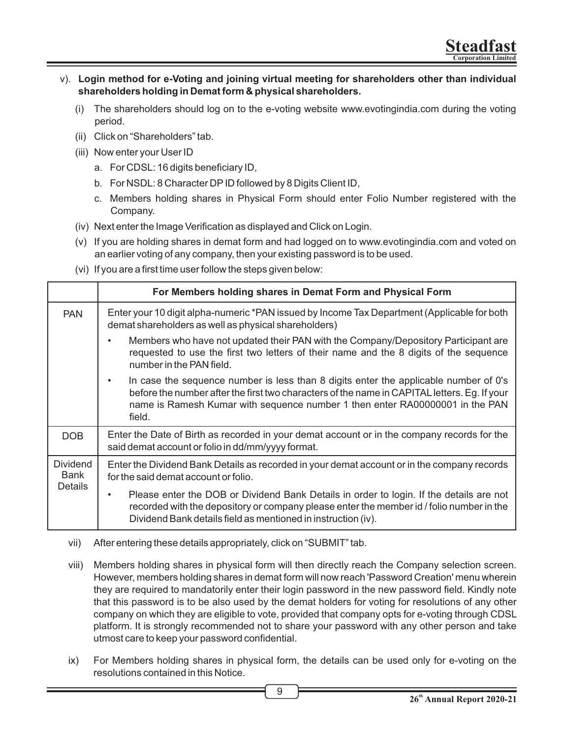- v). **Login method for e-Voting and joining virtual meeting for shareholders other than individual shareholders holding in Demat form & physical shareholders.**
	- (i) The shareholders should log on to the e-voting website www.evotingindia.com during the voting period.
	- (ii) Click on "Shareholders" tab.
	- (iii) Now enter your User ID
		- a. For CDSL: 16 digits beneficiary ID,
		- b. For NSDL: 8 Character DPID followed by 8 Digits Client ID,
		- c. Members holding shares in Physical Form should enter Folio Number registered with the Company.
	- (iv) Next enter the Image Verification as displayed and Click on Login.
	- (v) If you are holding shares in demat form and had logged on to www.evotingindia.com and voted on an earlier voting of any company, then your existing password is to be used.
	- (vi) If you are a first time user follow the steps given below:

|                         | For Members holding shares in Demat Form and Physical Form                                                                                                                                                                                                                          |  |  |
|-------------------------|-------------------------------------------------------------------------------------------------------------------------------------------------------------------------------------------------------------------------------------------------------------------------------------|--|--|
| <b>PAN</b>              | Enter your 10 digit alpha-numeric *PAN issued by Income Tax Department (Applicable for both<br>demat shareholders as well as physical shareholders)                                                                                                                                 |  |  |
|                         | Members who have not updated their PAN with the Company/Depository Participant are<br>٠<br>requested to use the first two letters of their name and the 8 digits of the sequence<br>number in the PAN field.                                                                        |  |  |
|                         | In case the sequence number is less than 8 digits enter the applicable number of 0's<br>٠<br>before the number after the first two characters of the name in CAPITAL letters. Eg. If your<br>name is Ramesh Kumar with sequence number 1 then enter RA00000001 in the PAN<br>field. |  |  |
| DOB                     | Enter the Date of Birth as recorded in your demat account or in the company records for the<br>said demat account or folio in dd/mm/yyyy format.                                                                                                                                    |  |  |
| <b>Dividend</b><br>Bank | Enter the Dividend Bank Details as recorded in your demat account or in the company records<br>for the said demat account or folio.                                                                                                                                                 |  |  |
| <b>Details</b>          | Please enter the DOB or Dividend Bank Details in order to login. If the details are not<br>$\bullet$<br>recorded with the depository or company please enter the member id / folio number in the<br>Dividend Bank details field as mentioned in instruction (iv).                   |  |  |

- vii) After entering these details appropriately, click on "SUBMIT" tab.
- viii) Members holding shares in physical form will then directly reach the Company selection screen. However, members holding shares in demat form will now reach 'Password Creation' menu wherein they are required to mandatorily enter their login password in the new password field. Kindly note that this password is to be also used by the demat holders for voting for resolutions of any other company on which they are eligible to vote, provided that company opts for e-voting through CDSL platform. It is strongly recommended not to share your password with any other person and take utmost care to keep your password confidential.
- ix) For Members holding shares in physical form, the details can be used only for e-voting on the resolutions contained in this Notice.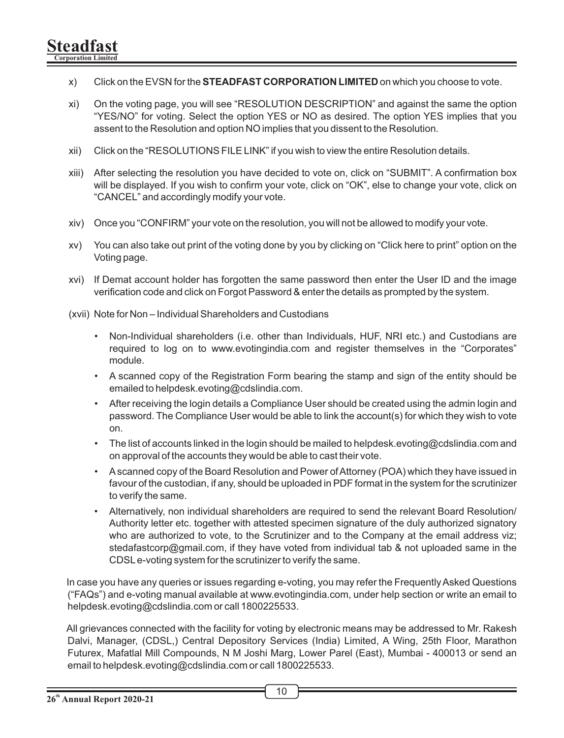- x) Click on the EVSN for the **STEADFAST CORPORATION LIMITED** on which you choose to vote.
- xi) On the voting page, you will see "RESOLUTION DESCRIPTION" and against the same the option "YES/NO" for voting. Select the option YES or NO as desired. The option YES implies that you assent to the Resolution and option NO implies that you dissent to the Resolution.
- xii) Click on the "RESOLUTIONS FILE LINK" if you wish to view the entire Resolution details.
- xiii) After selecting the resolution you have decided to vote on, click on "SUBMIT". A confirmation box will be displayed. If you wish to confirm your vote, click on "OK", else to change your vote, click on "CANCEL" and accordingly modify your vote.
- xiv) Once you "CONFIRM" your vote on the resolution, you will not be allowed to modify your vote.
- xv) You can also take out print of the voting done by you by clicking on "Click here to print" option on the Voting page.
- xvi) If Demat account holder has forgotten the same password then enter the User ID and the image verification code and click on Forgot Password & enter the details as prompted by the system.
- (xvii) Note for Non Individual Shareholders and Custodians
	- Non-Individual shareholders (i.e. other than Individuals, HUF, NRI etc.) and Custodians are required to log on to www.evotingindia.com and register themselves in the "Corporates" module.
	- A scanned copy of the Registration Form bearing the stamp and sign of the entity should be emailed to helpdesk.evoting@cdslindia.com.
	- After receiving the login details a Compliance User should be created using the admin login and password. The Compliance User would be able to link the account(s) for which they wish to vote on.
	- The list of accounts linked in the login should be mailed to helpdesk.evoting@cdslindia.com and on approval of the accounts they would be able to cast their vote.
	- Ascanned copy of the Board Resolution and Power of Attorney (POA) which they have issued in favour of the custodian, if any, should be uploaded in PDF format in the system for the scrutinizer to verify the same.
	- Alternatively, non individual shareholders are required to send the relevant Board Resolution/ Authority letter etc. together with attested specimen signature of the duly authorized signatory who are authorized to vote, to the Scrutinizer and to the Company at the email address viz; stedafastcorp@gmail.com, if they have voted from individual tab & not uploaded same in the CDSLe-voting system for the scrutinizer to verify the same.

In case you have any queries or issues regarding e-voting, you may refer the Frequently Asked Questions ("FAQs") and e-voting manual available at www.evotingindia.com, under help section or write an email to helpdesk.evoting@cdslindia.com or call 1800225533.

All grievances connected with the facility for voting by electronic means may be addressed to Mr. Rakesh Dalvi, Manager, (CDSL,) Central Depository Services (India) Limited, A Wing, 25th Floor, Marathon Futurex, Mafatlal Mill Compounds, N M Joshi Marg, Lower Parel (East), Mumbai - 400013 or send an email to helpdesk.evoting@cdslindia.com or call 1800225533.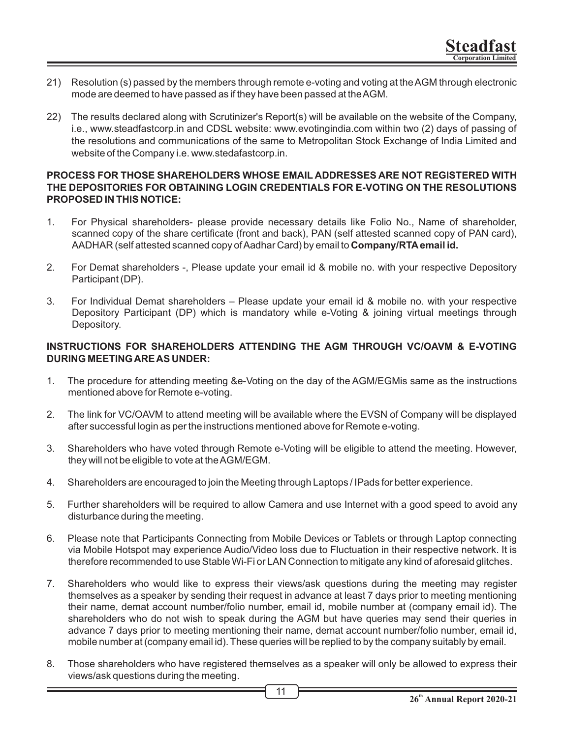- 21) Resolution (s) passed by the members through remote e-voting and voting at the AGM through electronic mode are deemed to have passed as if they have been passed at the AGM.
- 22) The results declared along with Scrutinizer's Report(s) will be available on the website of the Company, i.e., www.steadfastcorp.in and CDSL website: www.evotingindia.com within two (2) days of passing of the resolutions and communications of the same to Metropolitan Stock Exchange of India Limited and website of the Company i.e. www.stedafastcorp.in.

#### **PROCESS FOR THOSE SHAREHOLDERS WHOSE EMAIL ADDRESSES ARE NOT REGISTERED WITH THE DEPOSITORIES FOR OBTAINING LOGIN CREDENTIALS FOR E-VOTING ON THE RESOLUTIONS PROPOSED IN THIS NOTICE:**

- 1. For Physical shareholders- please provide necessary details like Folio No., Name of shareholder, scanned copy of the share certificate (front and back), PAN (self attested scanned copy of PAN card), AADHAR (self attested scanned copy of Aadhar Card) by email to **Company/RTAemail id.**
- 2. For Demat shareholders -, Please update your email id & mobile no. with your respective Depository Participant (DP).
- 3. For Individual Demat shareholders Please update your email id & mobile no. with your respective Depository Participant (DP) which is mandatory while e-Voting & joining virtual meetings through Depository.

#### **INSTRUCTIONS FOR SHAREHOLDERS ATTENDING THE AGM THROUGH VC/OAVM & E-VOTING DURING MEETING ARE AS UNDER:**

- 1. The procedure for attending meeting &e-Voting on the day of the AGM/EGMis same as the instructions mentioned above for Remote e-voting.
- 2. The link for VC/OAVM to attend meeting will be available where the EVSN of Company will be displayed after successful login as per the instructions mentioned above for Remote e-voting.
- 3. Shareholders who have voted through Remote e-Voting will be eligible to attend the meeting. However, they will not be eligible to vote at the AGM/EGM.
- 4. Shareholders are encouraged to join the Meeting through Laptops / IPads for better experience.
- 5. Further shareholders will be required to allow Camera and use Internet with a good speed to avoid any disturbance during the meeting.
- 6. Please note that Participants Connecting from Mobile Devices or Tablets or through Laptop connecting via Mobile Hotspot may experience Audio/Video loss due to Fluctuation in their respective network. It is therefore recommended to use Stable Wi-Fi or LAN Connection to mitigate any kind of aforesaid glitches.
- 7. Shareholders who would like to express their views/ask questions during the meeting may register themselves as a speaker by sending their request in advance at least 7 days prior to meeting mentioning their name, demat account number/folio number, email id, mobile number at (company email id). The shareholders who do not wish to speak during the AGM but have queries may send their queries in advance 7 days prior to meeting mentioning their name, demat account number/folio number, email id, mobile number at (company email id). These queries will be replied to by the company suitably by email.
- 8. Those shareholders who have registered themselves as a speaker will only be allowed to express their views/ask questions during the meeting.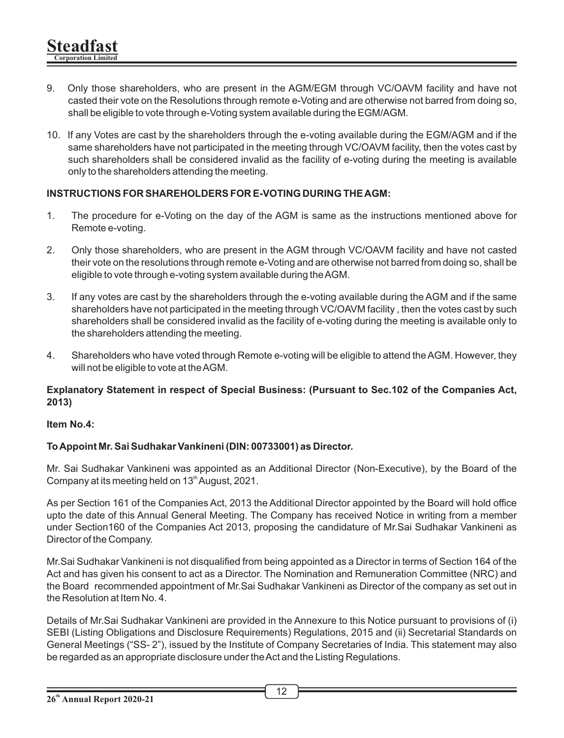- 9. Only those shareholders, who are present in the AGM/EGM through VC/OAVM facility and have not casted their vote on the Resolutions through remote e-Voting and are otherwise not barred from doing so, shall be eligible to vote through e-Voting system available during the EGM/AGM.
- 10. If any Votes are cast by the shareholders through the e-voting available during the EGM/AGM and if the same shareholders have not participated in the meeting through VC/OAVM facility, then the votes cast by such shareholders shall be considered invalid as the facility of e-voting during the meeting is available only to the shareholders attending the meeting.

### **INSTRUCTIONS FOR SHAREHOLDERS FOR E-VOTING DURING THE AGM:**

- 1. The procedure for e-Voting on the day of the AGM is same as the instructions mentioned above for Remote e-voting.
- 2. Only those shareholders, who are present in the AGM through VC/OAVM facility and have not casted their vote on the resolutions through remote e-Voting and are otherwise not barred from doing so, shall be eligible to vote through e-voting system available during the AGM.
- 3. If any votes are cast by the shareholders through the e-voting available during the AGM and if the same shareholders have not participated in the meeting through VC/OAVM facility , then the votes cast by such shareholders shall be considered invalid as the facility of e-voting during the meeting is available only to the shareholders attending the meeting.
- 4. Shareholders who have voted through Remote e-voting will be eligible to attend the AGM. However, they will not be eligible to vote at the AGM.

#### **Explanatory Statement in respect of Special Business: (Pursuant to Sec.102 of the Companies Act, 2013)**

#### **Item No.4:**

#### **To Appoint Mr. Sai Sudhakar Vankineni (DIN: 00733001) as Director.**

Mr. Sai Sudhakar Vankineni was appointed as an Additional Director (Non-Executive), by the Board of the Company at its meeting held on  $13<sup>th</sup>$  August, 2021.

As per Section 161 of the Companies Act, 2013 the Additional Director appointed by the Board will hold office upto the date of this Annual General Meeting. The Company has received Notice in writing from a member under Section160 of the Companies Act 2013, proposing the candidature of Mr.Sai Sudhakar Vankineni as Director of the Company.

Mr.Sai Sudhakar Vankineni is not disqualified from being appointed as a Director in terms of Section 164 of the Act and has given his consent to act as a Director. The Nomination and Remuneration Committee (NRC) and the Board recommended appointment of Mr.Sai Sudhakar Vankineni as Director of the company as set out in the Resolution at Item No. 4.

Details of Mr.Sai Sudhakar Vankineni are provided in the Annexure to this Notice pursuant to provisions of (i) SEBI (Listing Obligations and Disclosure Requirements) Regulations, 2015 and (ii) Secretarial Standards on General Meetings ("SS- 2"), issued by the Institute of Company Secretaries of India. This statement may also be regarded as an appropriate disclosure under the Act and the Listing Regulations.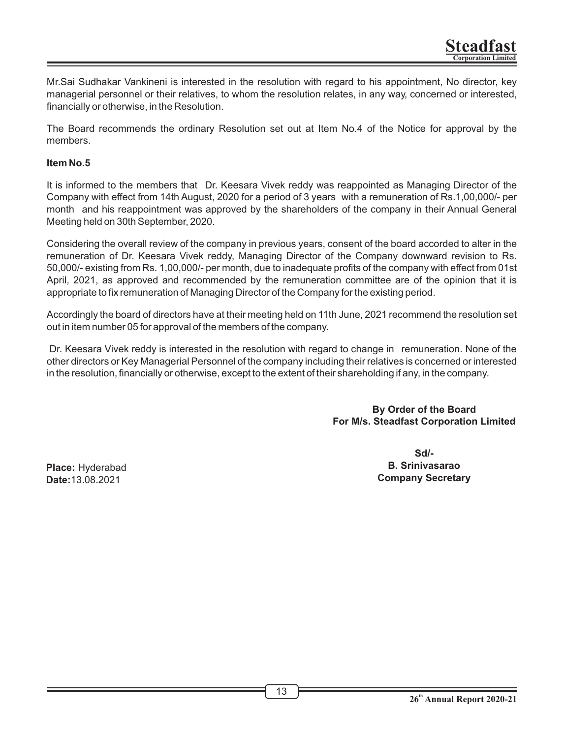Mr.Sai Sudhakar Vankineni is interested in the resolution with regard to his appointment, No director, key managerial personnel or their relatives, to whom the resolution relates, in any way, concerned or interested, financially or otherwise, in the Resolution.

The Board recommends the ordinary Resolution set out at Item No.4 of the Notice for approval by the members.

#### **Item No.5**

It is informed to the members that Dr. Keesara Vivek reddy was reappointed as Managing Director of the Company with effect from 14th August, 2020 for a period of 3 years with a remuneration of Rs.1,00,000/- per month and his reappointment was approved by the shareholders of the company in their Annual General Meeting held on 30th September, 2020.

Considering the overall review of the company in previous years, consent of the board accorded to alter in the remuneration of Dr. Keesara Vivek reddy, Managing Director of the Company downward revision to Rs. 50,000/- existing from Rs. 1,00,000/- per month, due to inadequate profits of the company with effect from 01st April, 2021, as approved and recommended by the remuneration committee are of the opinion that it is appropriate to fix remuneration of Managing Director of the Company for the existing period.

Accordingly the board of directors have at their meeting held on 11th June, 2021 recommend the resolution set out in item number 05 for approval of the members of the company.

 Dr. Keesara Vivek reddy is interested in the resolution with regard to change in remuneration. None of the other directors or Key Managerial Personnel of the company including their relatives is concerned or interested in the resolution, financially or otherwise, except to the extent of their shareholding if any, in the company.

#### **By Order of the Board For M/s. Steadfast Corporation Limited**

**Place:** Hyderabad **Date:**13.08.2021

**Sd/- B. Srinivasarao Company Secretary**